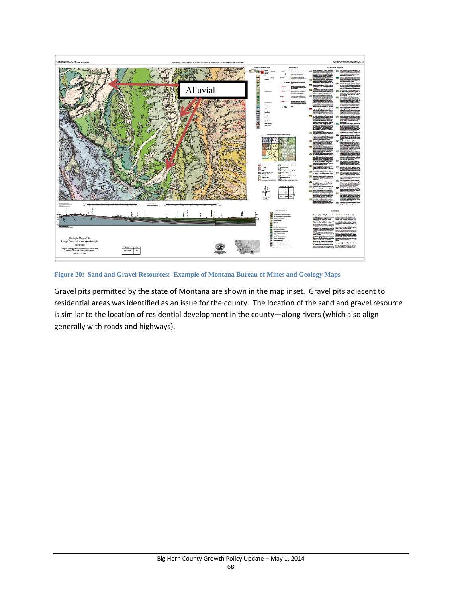

**Figure 20: Sand and Gravel Resources: Example of Montana Bureau of Mines and Geology Maps**

Gravel pits permitted by the state of Montana are shown in the map inset. Gravel pits adjacent to residential areas was identified as an issue for the county. The location of the sand and gravel resource is similar to the location of residential development in the county—along rivers (which also align generally with roads and highways).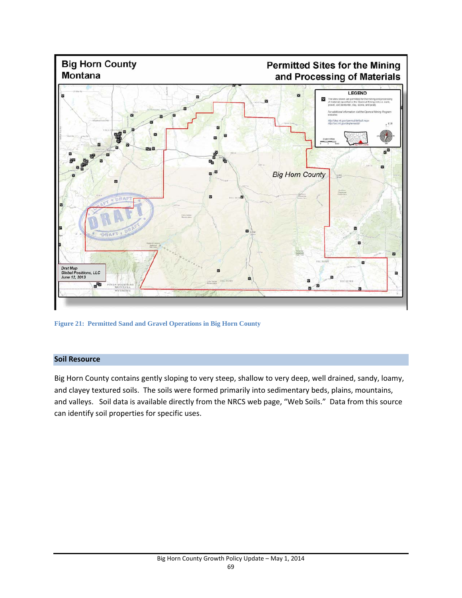

**Figure 21: Permitted Sand and Gravel Operations in Big Horn County**

# **Soil Resource**

Big Horn County contains gently sloping to very steep, shallow to very deep, well drained, sandy, loamy, and clayey textured soils. The soils were formed primarily into sedimentary beds, plains, mountains, and valleys. Soil data is available directly from the NRCS web page, "Web Soils." Data from this source can identify soil properties for specific uses.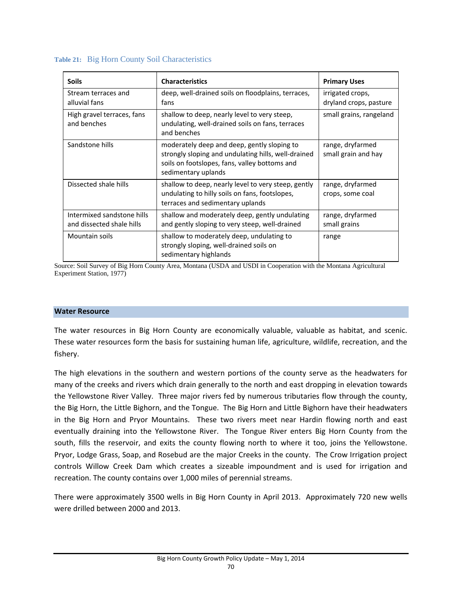| <b>Soils</b>                                            | <b>Characteristics</b>                                                                                                                                                     | <b>Primary Uses</b>                        |
|---------------------------------------------------------|----------------------------------------------------------------------------------------------------------------------------------------------------------------------------|--------------------------------------------|
| Stream terraces and<br>alluvial fans                    | deep, well-drained soils on floodplains, terraces,<br>fans                                                                                                                 | irrigated crops,<br>dryland crops, pasture |
| High gravel terraces, fans<br>and benches               | shallow to deep, nearly level to very steep,<br>undulating, well-drained soils on fans, terraces<br>and benches                                                            | small grains, rangeland                    |
| Sandstone hills                                         | moderately deep and deep, gently sloping to<br>strongly sloping and undulating hills, well-drained<br>soils on footslopes, fans, valley bottoms and<br>sedimentary uplands | range, dryfarmed<br>small grain and hay    |
| Dissected shale hills                                   | shallow to deep, nearly level to very steep, gently<br>undulating to hilly soils on fans, footslopes,<br>terraces and sedimentary uplands                                  | range, dryfarmed<br>crops, some coal       |
| Intermixed sandstone hills<br>and dissected shale hills | shallow and moderately deep, gently undulating<br>and gently sloping to very steep, well-drained                                                                           | range, dryfarmed<br>small grains           |
| Mountain soils                                          | shallow to moderately deep, undulating to<br>strongly sloping, well-drained soils on<br>sedimentary highlands                                                              | range                                      |

### **Table 21:** Big Horn County Soil Characteristics

Source: Soil Survey of Big Horn County Area, Montana (USDA and USDI in Cooperation with the Montana Agricultural Experiment Station, 1977)

#### **Water Resource**

The water resources in Big Horn County are economically valuable, valuable as habitat, and scenic. These water resources form the basis for sustaining human life, agriculture, wildlife, recreation, and the fishery.

The high elevations in the southern and western portions of the county serve as the headwaters for many of the creeks and rivers which drain generally to the north and east dropping in elevation towards the Yellowstone River Valley. Three major rivers fed by numerous tributaries flow through the county, the Big Horn, the Little Bighorn, and the Tongue. The Big Horn and Little Bighorn have their headwaters in the Big Horn and Pryor Mountains. These two rivers meet near Hardin flowing north and east eventually draining into the Yellowstone River. The Tongue River enters Big Horn County from the south, fills the reservoir, and exits the county flowing north to where it too, joins the Yellowstone. Pryor, Lodge Grass, Soap, and Rosebud are the major Creeks in the county. The Crow Irrigation project controls Willow Creek Dam which creates a sizeable impoundment and is used for irrigation and recreation. The county contains over 1,000 miles of perennial streams.

There were approximately 3500 wells in Big Horn County in April 2013. Approximately 720 new wells were drilled between 2000 and 2013.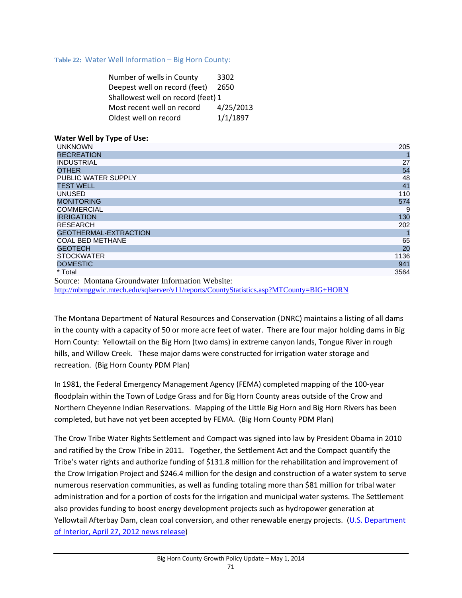**Table 22:** Water Well Information – Big Horn County:

| Number of wells in County          | 3302      |
|------------------------------------|-----------|
| Deepest well on record (feet)      | 2650      |
| Shallowest well on record (feet) 1 |           |
| Most recent well on record         | 4/25/2013 |
| Oldest well on record              | 1/1/1897  |
|                                    |           |

## **Water Well by Type of Use:**

| <b>UNKNOWN</b>               | 205  |
|------------------------------|------|
| <b>RECREATION</b>            |      |
| <b>INDUSTRIAL</b>            | 27   |
| <b>OTHER</b>                 | 54   |
| PUBLIC WATER SUPPLY          | 48   |
| <b>TEST WELL</b>             | 41   |
| <b>UNUSED</b>                | 110  |
| <b>MONITORING</b>            | 574  |
| <b>COMMERCIAL</b>            | 9    |
| <b>IRRIGATION</b>            | 130  |
| <b>RESEARCH</b>              | 202  |
| <b>GEOTHERMAL-EXTRACTION</b> |      |
| <b>COAL BED METHANE</b>      | 65   |
| <b>GEOTECH</b>               | 20   |
| <b>STOCKWATER</b>            | 1136 |
| <b>DOMESTIC</b>              | 941  |
| * Total                      | 3564 |
| $\sim$                       |      |

Source: Montana Groundwater Information Website:

http://mbmggwic.mtech.edu/sqlserver/v11/reports/CountyStatistics.asp?MTCounty=BIG+HORN

The Montana Department of Natural Resources and Conservation (DNRC) maintains a listing of all dams in the county with a capacity of 50 or more acre feet of water. There are four major holding dams in Big Horn County: Yellowtail on the Big Horn (two dams) in extreme canyon lands, Tongue River in rough hills, and Willow Creek. These major dams were constructed for irrigation water storage and recreation. (Big Horn County PDM Plan)

In 1981, the Federal Emergency Management Agency (FEMA) completed mapping of the 100‐year floodplain within the Town of Lodge Grass and for Big Horn County areas outside of the Crow and Northern Cheyenne Indian Reservations. Mapping of the Little Big Horn and Big Horn Rivers has been completed, but have not yet been accepted by FEMA. (Big Horn County PDM Plan)

The Crow Tribe Water Rights Settlement and Compact was signed into law by President Obama in 2010 and ratified by the Crow Tribe in 2011. Together, the Settlement Act and the Compact quantify the Tribe's water rights and authorize funding of \$131.8 million for the rehabilitation and improvement of the Crow Irrigation Project and \$246.4 million for the design and construction of a water system to serve numerous reservation communities, as well as funding totaling more than \$81 million for tribal water administration and for a portion of costs for the irrigation and municipal water systems. The Settlement also provides funding to boost energy development projects such as hydropower generation at Yellowtail Afterbay Dam, clean coal conversion, and other renewable energy projects. (U.S. Department of Interior, April 27, 2012 news release)